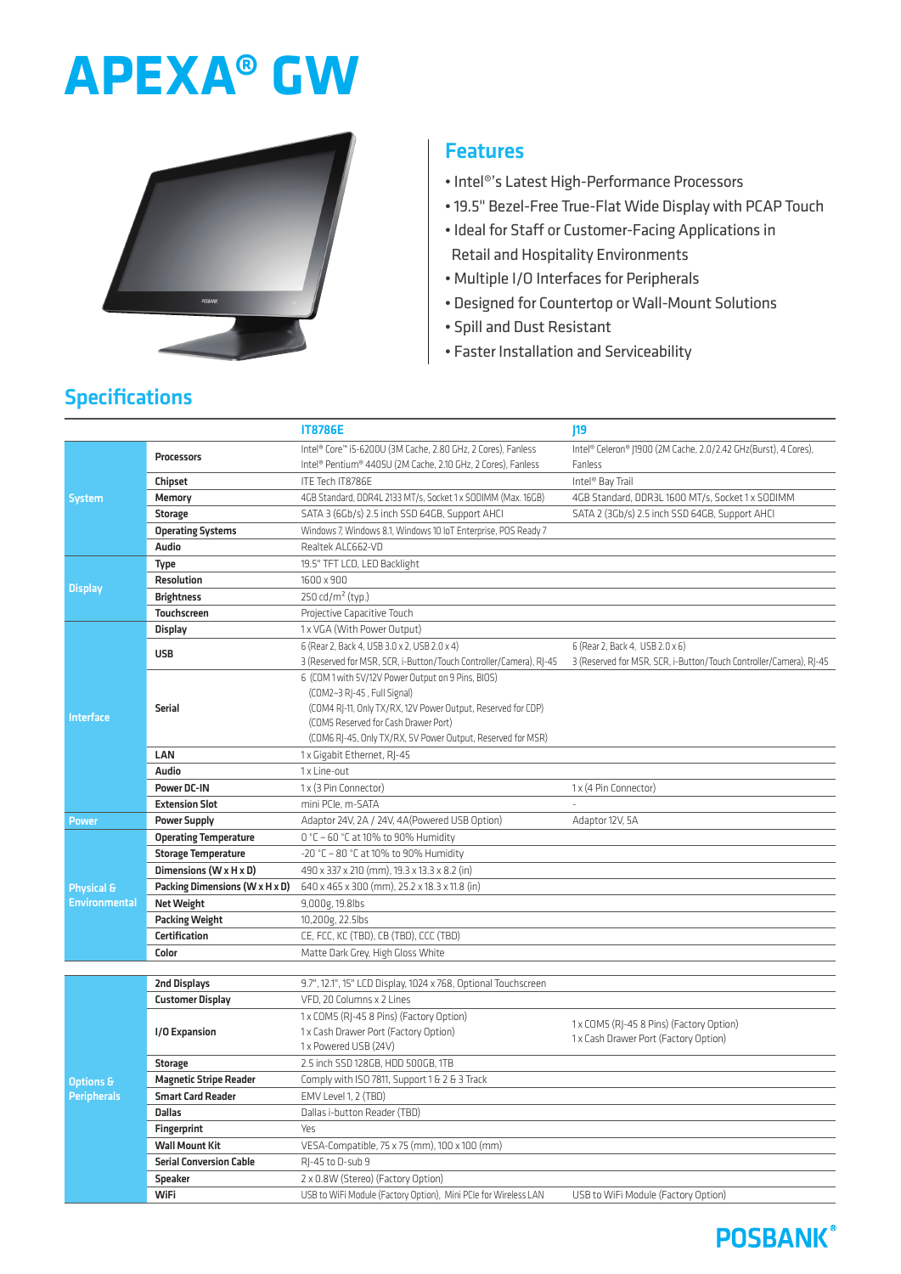# **APEXA® GW**



#### Features

- Intel®'s Latest High-Performance Processors
- 19.5" Bezel-Free True-Flat Wide Display with PCAP Touch
- Ideal for Staff or Customer-Facing Applications in Retail and Hospitality Environments
- Multiple I/O Interfaces for Peripherals
- Designed for Countertop or Wall-Mount Solutions
- Spill and Dust Resistant
- Faster Installation and Serviceability

|                                               |                                                          | <b>IT8786E</b>                                                                                | 19                                                                 |
|-----------------------------------------------|----------------------------------------------------------|-----------------------------------------------------------------------------------------------|--------------------------------------------------------------------|
|                                               | Processors                                               | Intel® Core™ i5-6200U (3M Cache, 2.80 GHz, 2 Cores), Fanless                                  | Intel® Celeron® J1900 (2M Cache, 2.0/2.42 GHz(Burst), 4 Cores),    |
| <b>System</b>                                 |                                                          | Intel <sup>®</sup> Pentium® 4405U (2M Cache, 2.10 GHz, 2 Cores), Fanless                      | Fanless                                                            |
|                                               | Chipset                                                  | ITE Tech IT8786E                                                                              | Intel <sup>®</sup> Bay Trail                                       |
|                                               | Memory                                                   | 4GB Standard, DDR4L 2133 MT/s, Socket 1 x SODIMM (Max. 16GB)                                  | 4GB Standard, DDR3L 1600 MT/s, Socket 1 x SODIMM                   |
|                                               | <b>Storage</b>                                           | SATA 3 (6Gb/s) 2.5 inch SSD 64GB, Support AHCI                                                | SATA 2 (3Gb/s) 2.5 inch SSD 64GB, Support AHCI                     |
|                                               | <b>Operating Systems</b>                                 | Windows 7, Windows 8.1, Windows 10 IoT Enterprise, POS Ready 7                                |                                                                    |
|                                               | Audio                                                    | Realtek ALC662-VD                                                                             |                                                                    |
| <b>Display</b>                                | <b>Type</b>                                              | 19.5" TFT LCD, LED Backlight                                                                  |                                                                    |
|                                               | <b>Resolution</b>                                        | 1600 x 900                                                                                    |                                                                    |
|                                               | <b>Brightness</b>                                        | 250 cd/m <sup>2</sup> (typ.)                                                                  |                                                                    |
|                                               | Touchscreen                                              | Projective Capacitive Touch                                                                   |                                                                    |
|                                               | Display                                                  | 1 x VGA (With Power Output)                                                                   |                                                                    |
|                                               | <b>USB</b>                                               | 6 (Rear 2, Back 4, USB 3.0 x 2, USB 2.0 x 4)                                                  | 6 (Rear 2, Back 4, USB 2.0 x 6)                                    |
|                                               |                                                          | 3 (Reserved for MSR, SCR, i-Button/Touch Controller/Camera), RJ-45                            | 3 (Reserved for MSR, SCR, i-Button/Touch Controller/Camera), RJ-45 |
|                                               |                                                          | 6 (COM 1 with 5V/12V Power Output on 9 Pins, BIOS)                                            |                                                                    |
|                                               |                                                          | (COM2~3 RJ-45, Full Signal)                                                                   |                                                                    |
| <b>Interface</b>                              | <b>Serial</b>                                            | (COM4 RJ-11, Only TX/RX, 12V Power Output, Reserved for CDP)                                  |                                                                    |
|                                               |                                                          | (COM5 Reserved for Cash Drawer Port)                                                          |                                                                    |
|                                               | LAN                                                      | (COM6 RJ-45, Only TX/RX, 5V Power Output, Reserved for MSR)<br>1 x Gigabit Ethernet, RJ-45    |                                                                    |
|                                               | Audio                                                    |                                                                                               |                                                                    |
|                                               | <b>Power DC-IN</b>                                       | 1x Line-out                                                                                   |                                                                    |
|                                               | <b>Extension Slot</b>                                    | 1 x (3 Pin Connector)                                                                         | 1x (4 Pin Connector)                                               |
|                                               |                                                          | mini PCIe, m-SATA                                                                             |                                                                    |
| <b>Power</b>                                  | <b>Power Supply</b>                                      | Adaptor 24V, 2A / 24V, 4A(Powered USB Option)                                                 | Adaptor 12V, 5A                                                    |
|                                               | <b>Operating Temperature</b>                             | 0 °C ~ 60 °C at 10% to 90% Humidity                                                           |                                                                    |
|                                               | <b>Storage Temperature</b>                               | -20 °C ~ 80 °C at 10% to 90% Humidity                                                         |                                                                    |
|                                               | Dimensions (W x H x D)<br>Packing Dimensions (W x H x D) | 490 x 337 x 210 (mm), 19.3 x 13.3 x 8.2 (in)<br>640 x 465 x 300 (mm), 25.2 x 18.3 x 11.8 (in) |                                                                    |
| <b>Physical &amp;</b><br><b>Environmental</b> | <b>Net Weight</b>                                        | 9,000g, 19.8lbs                                                                               |                                                                    |
|                                               | <b>Packing Weight</b>                                    | 10,200g, 22.5lbs                                                                              |                                                                    |
|                                               | <b>Certification</b>                                     | CE, FCC, KC (TBD), CB (TBD), CCC (TBD)                                                        |                                                                    |
|                                               | Color                                                    | Matte Dark Grey, High Gloss White                                                             |                                                                    |
|                                               |                                                          |                                                                                               |                                                                    |
|                                               | <b>2nd Displays</b>                                      | 9.7", 12.1", 15" LCD Display, 1024 x 768, Optional Touchscreen                                |                                                                    |
|                                               | <b>Customer Display</b>                                  | VFD, 20 Columns x 2 Lines                                                                     |                                                                    |
|                                               | I/O Expansion                                            | 1 x COM5 (RJ-45 8 Pins) (Factory Option)                                                      |                                                                    |
|                                               |                                                          | 1 x Cash Drawer Port (Factory Option)                                                         | 1x COM5 (RJ-45 8 Pins) (Factory Option)                            |
|                                               |                                                          | 1 x Powered USB (24V)                                                                         | 1x Cash Drawer Port (Factory Option)                               |
|                                               | <b>Storage</b>                                           | 2.5 inch SSD 128GB, HDD 500GB, 1TB                                                            |                                                                    |
| <b>Options &amp;</b>                          | <b>Magnetic Stripe Reader</b>                            | Comply with ISO 7811, Support 1 & 2 & 3 Track                                                 |                                                                    |
| <b>Peripherals</b>                            | <b>Smart Card Reader</b>                                 | EMV Level 1, 2 (TBD)                                                                          |                                                                    |
|                                               | Dallas                                                   | Dallas i-button Reader (TBD)                                                                  |                                                                    |
|                                               | Fingerprint                                              | Yes                                                                                           |                                                                    |
|                                               | <b>Wall Mount Kit</b>                                    | VESA-Compatible, 75 x 75 (mm), 100 x 100 (mm)                                                 |                                                                    |
|                                               | <b>Serial Conversion Cable</b>                           | RI-45 to D-sub 9                                                                              |                                                                    |
|                                               | <b>Speaker</b>                                           | 2 x 0.8W (Stereo) (Factory Option)                                                            |                                                                    |
|                                               | <b>WiFi</b>                                              | USB to WiFi Module (Factory Option), Mini PCIe for Wireless LAN                               | USB to WiFi Module (Factory Option)                                |

## **Specifications**